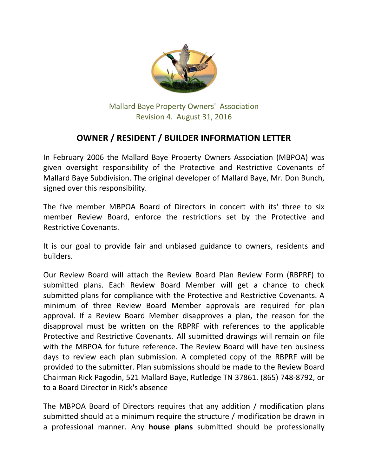

Mallard Baye Property Owners' Association Revision 4. August 31, 2016

## **OWNER / RESIDENT / BUILDER INFORMATION LETTER**

In February 2006 the Mallard Baye Property Owners Association (MBPOA) was given oversight responsibility of the Protective and Restrictive Covenants of Mallard Baye Subdivision. The original developer of Mallard Baye, Mr. Don Bunch, signed over this responsibility.

The five member MBPOA Board of Directors in concert with its' three to six member Review Board, enforce the restrictions set by the Protective and Restrictive Covenants.

It is our goal to provide fair and unbiased guidance to owners, residents and builders.

Our Review Board will attach the Review Board Plan Review Form (RBPRF) to submitted plans. Each Review Board Member will get a chance to check submitted plans for compliance with the Protective and Restrictive Covenants. A minimum of three Review Board Member approvals are required for plan approval. If a Review Board Member disapproves a plan, the reason for the disapproval must be written on the RBPRF with references to the applicable Protective and Restrictive Covenants. All submitted drawings will remain on file with the MBPOA for future reference. The Review Board will have ten business days to review each plan submission. A completed copy of the RBPRF will be provided to the submitter. Plan submissions should be made to the Review Board Chairman Rick Pagodin, 521 Mallard Baye, Rutledge TN 37861. (865) 748-8792, or to a Board Director in Rick's absence

The MBPOA Board of Directors requires that any addition / modification plans submitted should at a minimum require the structure / modification be drawn in a professional manner. Any **house plans** submitted should be professionally